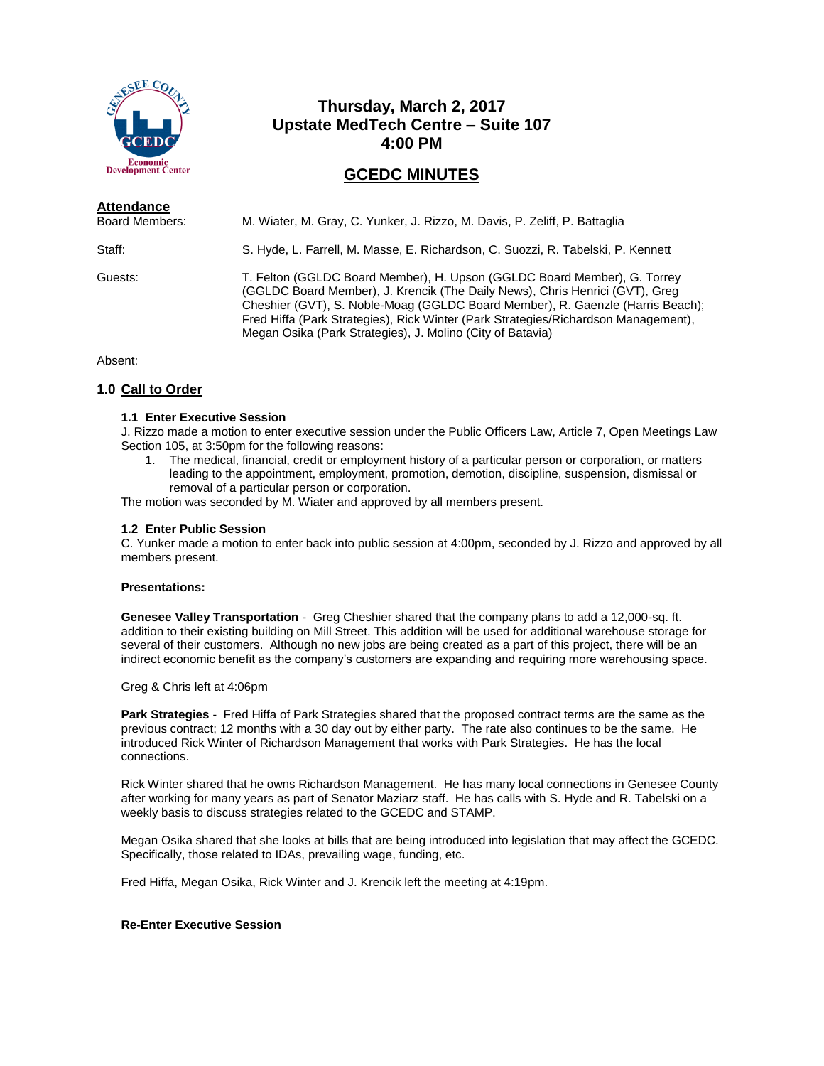

# **Thursday, March 2, 2017 Upstate MedTech Centre – Suite 107 4:00 PM**

# **GCEDC MINUTES**

| <b>Attendance</b><br><b>Board Members:</b> | M. Wiater, M. Gray, C. Yunker, J. Rizzo, M. Davis, P. Zeliff, P. Battaglia                                                                                                                                                                                                                                                                                                                     |
|--------------------------------------------|------------------------------------------------------------------------------------------------------------------------------------------------------------------------------------------------------------------------------------------------------------------------------------------------------------------------------------------------------------------------------------------------|
| Staff:                                     | S. Hyde, L. Farrell, M. Masse, E. Richardson, C. Suozzi, R. Tabelski, P. Kennett                                                                                                                                                                                                                                                                                                               |
| Guests:                                    | T. Felton (GGLDC Board Member), H. Upson (GGLDC Board Member), G. Torrey<br>(GGLDC Board Member), J. Krencik (The Daily News), Chris Henrici (GVT), Greg<br>Cheshier (GVT), S. Noble-Moag (GGLDC Board Member), R. Gaenzle (Harris Beach);<br>Fred Hiffa (Park Strategies), Rick Winter (Park Strategies/Richardson Management),<br>Megan Osika (Park Strategies), J. Molino (City of Batavia) |

Absent:

# **1.0 Call to Order**

# **1.1 Enter Executive Session**

J. Rizzo made a motion to enter executive session under the Public Officers Law, Article 7, Open Meetings Law Section 105, at 3:50pm for the following reasons:

1. The medical, financial, credit or employment history of a particular person or corporation, or matters leading to the appointment, employment, promotion, demotion, discipline, suspension, dismissal or removal of a particular person or corporation.

The motion was seconded by M. Wiater and approved by all members present.

# **1.2 Enter Public Session**

C. Yunker made a motion to enter back into public session at 4:00pm, seconded by J. Rizzo and approved by all members present.

#### **Presentations:**

**Genesee Valley Transportation** - Greg Cheshier shared that the company plans to add a 12,000-sq. ft. addition to their existing building on Mill Street. This addition will be used for additional warehouse storage for several of their customers. Although no new jobs are being created as a part of this project, there will be an indirect economic benefit as the company's customers are expanding and requiring more warehousing space.

Greg & Chris left at 4:06pm

**Park Strategies** - Fred Hiffa of Park Strategies shared that the proposed contract terms are the same as the previous contract; 12 months with a 30 day out by either party. The rate also continues to be the same. He introduced Rick Winter of Richardson Management that works with Park Strategies. He has the local connections.

Rick Winter shared that he owns Richardson Management. He has many local connections in Genesee County after working for many years as part of Senator Maziarz staff. He has calls with S. Hyde and R. Tabelski on a weekly basis to discuss strategies related to the GCEDC and STAMP.

Megan Osika shared that she looks at bills that are being introduced into legislation that may affect the GCEDC. Specifically, those related to IDAs, prevailing wage, funding, etc.

Fred Hiffa, Megan Osika, Rick Winter and J. Krencik left the meeting at 4:19pm.

# **Re-Enter Executive Session**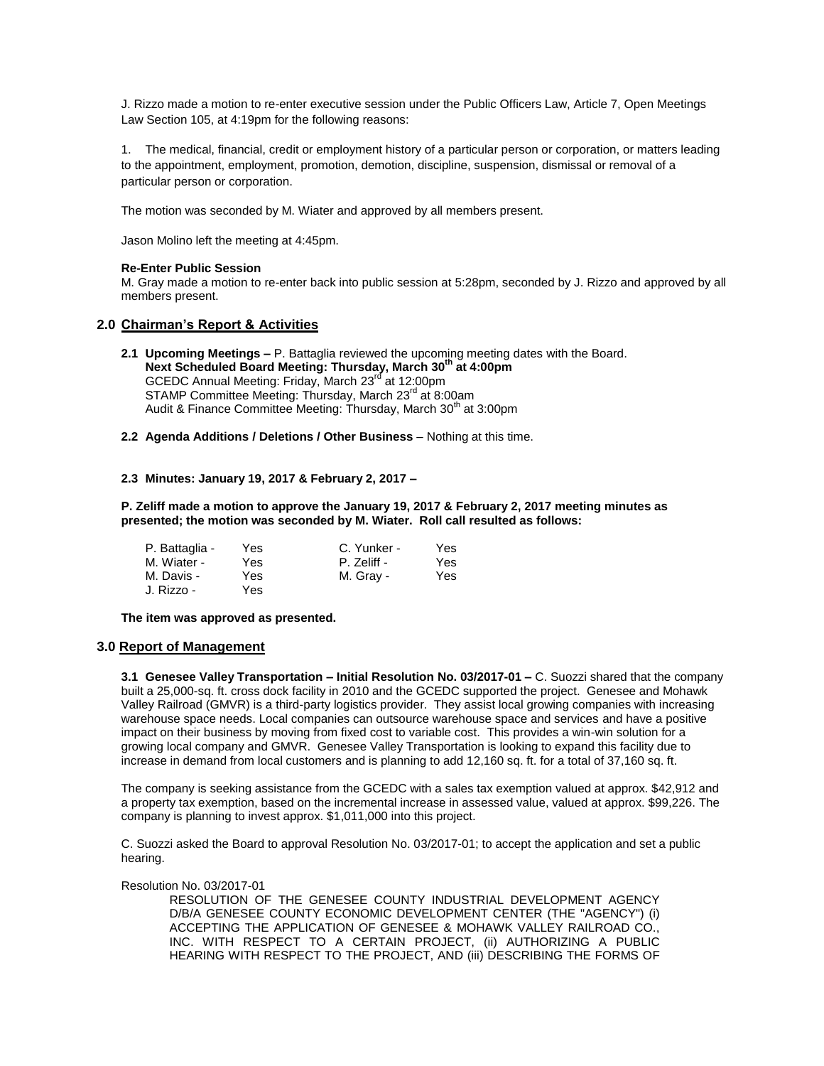J. Rizzo made a motion to re-enter executive session under the Public Officers Law, Article 7, Open Meetings Law Section 105, at 4:19pm for the following reasons:

1. The medical, financial, credit or employment history of a particular person or corporation, or matters leading to the appointment, employment, promotion, demotion, discipline, suspension, dismissal or removal of a particular person or corporation.

The motion was seconded by M. Wiater and approved by all members present.

Jason Molino left the meeting at 4:45pm.

## **Re-Enter Public Session**

M. Gray made a motion to re-enter back into public session at 5:28pm, seconded by J. Rizzo and approved by all members present.

# **2.0 Chairman's Report & Activities**

- **2.1 Upcoming Meetings –** P. Battaglia reviewed the upcoming meeting dates with the Board. **Next Scheduled Board Meeting: Thursday, March 30th at 4:00pm** GCEDC Annual Meeting: Friday, March 23<sup>rd</sup> at 12:00pm STAMP Committee Meeting: Thursday, March 23<sup>rd</sup> at 8:00am Audit & Finance Committee Meeting: Thursday, March 30<sup>th</sup> at 3:00pm
- **2.2 Agenda Additions / Deletions / Other Business** Nothing at this time.

## **2.3 Minutes: January 19, 2017 & February 2, 2017 –**

**P. Zeliff made a motion to approve the January 19, 2017 & February 2, 2017 meeting minutes as presented; the motion was seconded by M. Wiater. Roll call resulted as follows:**

| P. Battaglia - | Yes | C. Yunker - | Yes |
|----------------|-----|-------------|-----|
| M. Wiater -    | Yes | P. Zeliff - | Yes |
| M. Davis -     | Yes | M. Gray -   | Yes |
| J. Rizzo -     | Yes |             |     |

**The item was approved as presented.**

#### **3.0 Report of Management**

**3.1 Genesee Valley Transportation – Initial Resolution No. 03/2017-01 –** C. Suozzi shared that the company built a 25,000-sq. ft. cross dock facility in 2010 and the GCEDC supported the project. Genesee and Mohawk Valley Railroad (GMVR) is a third-party logistics provider. They assist local growing companies with increasing warehouse space needs. Local companies can outsource warehouse space and services and have a positive impact on their business by moving from fixed cost to variable cost. This provides a win-win solution for a growing local company and GMVR. Genesee Valley Transportation is looking to expand this facility due to increase in demand from local customers and is planning to add 12,160 sq. ft. for a total of 37,160 sq. ft.

The company is seeking assistance from the GCEDC with a sales tax exemption valued at approx. \$42,912 and a property tax exemption, based on the incremental increase in assessed value, valued at approx. \$99,226. The company is planning to invest approx. \$1,011,000 into this project.

C. Suozzi asked the Board to approval Resolution No. 03/2017-01; to accept the application and set a public hearing.

# Resolution No. 03/2017-01

RESOLUTION OF THE GENESEE COUNTY INDUSTRIAL DEVELOPMENT AGENCY D/B/A GENESEE COUNTY ECONOMIC DEVELOPMENT CENTER (THE "AGENCY") (i) ACCEPTING THE APPLICATION OF GENESEE & MOHAWK VALLEY RAILROAD CO., INC. WITH RESPECT TO A CERTAIN PROJECT, (ii) AUTHORIZING A PUBLIC HEARING WITH RESPECT TO THE PROJECT, AND (iii) DESCRIBING THE FORMS OF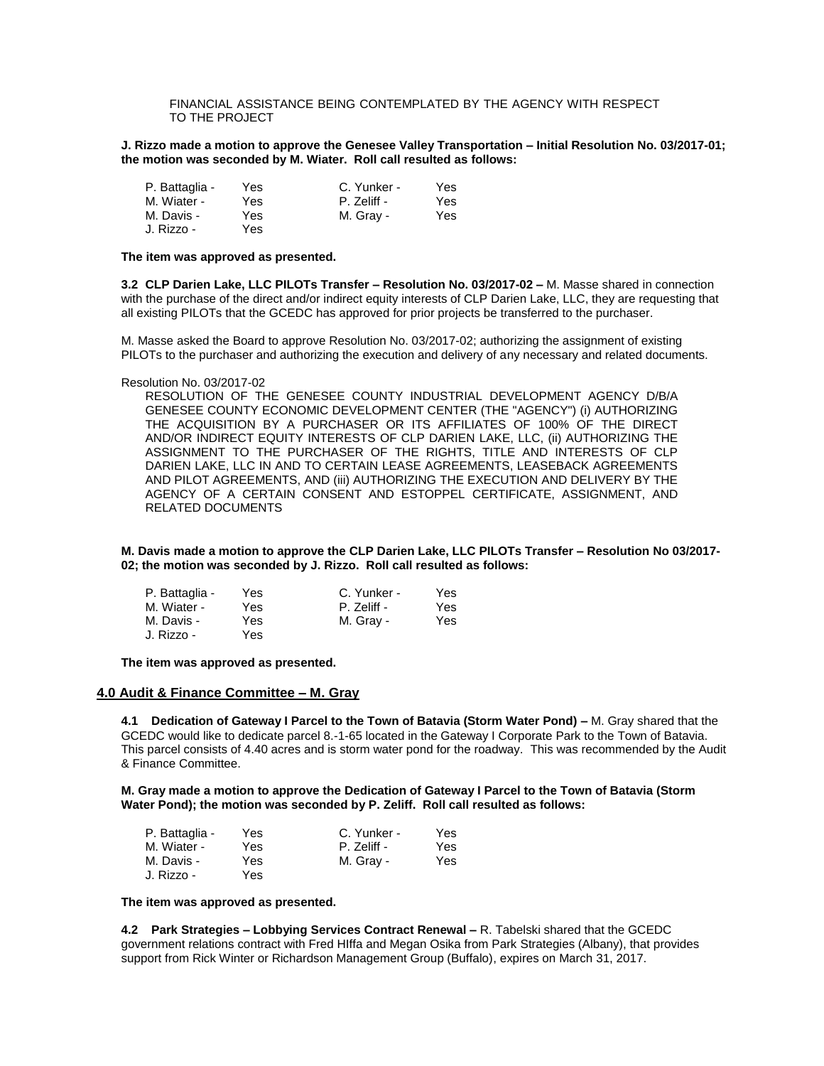## FINANCIAL ASSISTANCE BEING CONTEMPLATED BY THE AGENCY WITH RESPECT TO THE PROJECT

#### **J. Rizzo made a motion to approve the Genesee Valley Transportation – Initial Resolution No. 03/2017-01; the motion was seconded by M. Wiater. Roll call resulted as follows:**

| P. Battaglia - | Yes | C. Yunker - | Yes |
|----------------|-----|-------------|-----|
| M. Wiater -    | Yes | P. Zeliff - | Yes |
| M. Davis -     | Yes | M. Gray -   | Yes |
| J. Rizzo -     | Yes |             |     |

#### **The item was approved as presented.**

**3.2 CLP Darien Lake, LLC PILOTs Transfer – Resolution No. 03/2017-02 –** M. Masse shared in connection with the purchase of the direct and/or indirect equity interests of CLP Darien Lake, LLC, they are requesting that all existing PILOTs that the GCEDC has approved for prior projects be transferred to the purchaser.

M. Masse asked the Board to approve Resolution No. 03/2017-02; authorizing the assignment of existing PILOTs to the purchaser and authorizing the execution and delivery of any necessary and related documents.

#### Resolution No. 03/2017-02

RESOLUTION OF THE GENESEE COUNTY INDUSTRIAL DEVELOPMENT AGENCY D/B/A GENESEE COUNTY ECONOMIC DEVELOPMENT CENTER (THE "AGENCY") (i) AUTHORIZING THE ACQUISITION BY A PURCHASER OR ITS AFFILIATES OF 100% OF THE DIRECT AND/OR INDIRECT EQUITY INTERESTS OF CLP DARIEN LAKE, LLC, (ii) AUTHORIZING THE ASSIGNMENT TO THE PURCHASER OF THE RIGHTS, TITLE AND INTERESTS OF CLP DARIEN LAKE, LLC IN AND TO CERTAIN LEASE AGREEMENTS, LEASEBACK AGREEMENTS AND PILOT AGREEMENTS, AND (iii) AUTHORIZING THE EXECUTION AND DELIVERY BY THE AGENCY OF A CERTAIN CONSENT AND ESTOPPEL CERTIFICATE, ASSIGNMENT, AND RELATED DOCUMENTS

**M. Davis made a motion to approve the CLP Darien Lake, LLC PILOTs Transfer – Resolution No 03/2017- 02; the motion was seconded by J. Rizzo. Roll call resulted as follows:**

| P. Battaglia - | Yes | C. Yunker - | Yes |
|----------------|-----|-------------|-----|
| M. Wiater -    | Yes | P. Zeliff - | Yes |
| M. Davis -     | Yes | M. Gray -   | Yes |
| J. Rizzo -     | Yes |             |     |

#### **The item was approved as presented.**

#### **4.0 Audit & Finance Committee – M. Gray**

**4.1 Dedication of Gateway I Parcel to the Town of Batavia (Storm Water Pond) –** M. Gray shared that the GCEDC would like to dedicate parcel 8.-1-65 located in the Gateway I Corporate Park to the Town of Batavia. This parcel consists of 4.40 acres and is storm water pond for the roadway. This was recommended by the Audit & Finance Committee.

**M. Gray made a motion to approve the Dedication of Gateway I Parcel to the Town of Batavia (Storm Water Pond); the motion was seconded by P. Zeliff. Roll call resulted as follows:**

| P. Battaglia - | Yes | C. Yunker - | Yes |
|----------------|-----|-------------|-----|
| M. Wiater -    | Yes | P. Zeliff - | Yes |
| M. Davis -     | Yes | M. Gray -   | Yes |
| J. Rizzo -     | Yes |             |     |

#### **The item was approved as presented.**

**4.2 Park Strategies – Lobbying Services Contract Renewal –** R. Tabelski shared that the GCEDC government relations contract with Fred HIffa and Megan Osika from Park Strategies (Albany), that provides support from Rick Winter or Richardson Management Group (Buffalo), expires on March 31, 2017.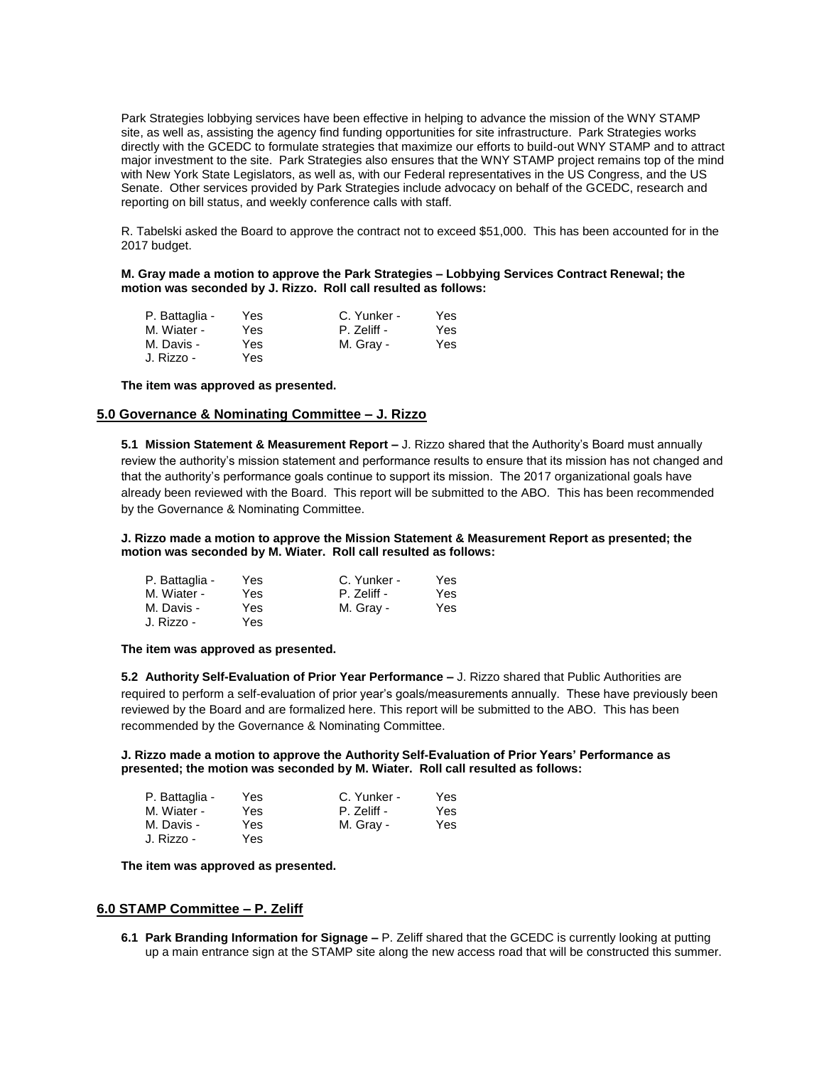Park Strategies lobbying services have been effective in helping to advance the mission of the WNY STAMP site, as well as, assisting the agency find funding opportunities for site infrastructure. Park Strategies works directly with the GCEDC to formulate strategies that maximize our efforts to build-out WNY STAMP and to attract major investment to the site. Park Strategies also ensures that the WNY STAMP project remains top of the mind with New York State Legislators, as well as, with our Federal representatives in the US Congress, and the US Senate. Other services provided by Park Strategies include advocacy on behalf of the GCEDC, research and reporting on bill status, and weekly conference calls with staff.

R. Tabelski asked the Board to approve the contract not to exceed \$51,000. This has been accounted for in the 2017 budget.

**M. Gray made a motion to approve the Park Strategies – Lobbying Services Contract Renewal; the motion was seconded by J. Rizzo. Roll call resulted as follows:**

| P. Battaglia - | Yes | C. Yunker - | Yes |
|----------------|-----|-------------|-----|
| M. Wiater -    | Yes | P. Zeliff - | Yes |
| M. Davis -     | Yes | M. Gray -   | Yes |
| J. Rizzo -     | Yes |             |     |

**The item was approved as presented.**

# **5.0 Governance & Nominating Committee – J. Rizzo**

**5.1 Mission Statement & Measurement Report –** J. Rizzo shared that the Authority's Board must annually review the authority's mission statement and performance results to ensure that its mission has not changed and that the authority's performance goals continue to support its mission. The 2017 organizational goals have already been reviewed with the Board. This report will be submitted to the ABO. This has been recommended by the Governance & Nominating Committee.

**J. Rizzo made a motion to approve the Mission Statement & Measurement Report as presented; the motion was seconded by M. Wiater. Roll call resulted as follows:**

| P. Battaglia - | Yes | C. Yunker - | Yes. |
|----------------|-----|-------------|------|
| M. Wiater -    | Yes | P. Zeliff - | Yes  |
| M. Davis -     | Yes | M. Gray -   | Yes  |
| J. Rizzo -     | Yes |             |      |

#### **The item was approved as presented.**

**5.2 Authority Self-Evaluation of Prior Year Performance –** J. Rizzo shared that Public Authorities are required to perform a self-evaluation of prior year's goals/measurements annually. These have previously been reviewed by the Board and are formalized here. This report will be submitted to the ABO. This has been recommended by the Governance & Nominating Committee.

**J. Rizzo made a motion to approve the Authority Self-Evaluation of Prior Years' Performance as presented; the motion was seconded by M. Wiater. Roll call resulted as follows:**

| P. Battaglia - | Yes | C. Yunker - | Yes  |
|----------------|-----|-------------|------|
| M. Wiater -    | Yes | P. Zeliff - | Yes. |
| M. Davis -     | Yes | M. Gray -   | Yes. |
| J. Rizzo -     | Yes |             |      |

**The item was approved as presented.**

## **6.0 STAMP Committee – P. Zeliff**

**6.1 Park Branding Information for Signage –** P. Zeliff shared that the GCEDC is currently looking at putting up a main entrance sign at the STAMP site along the new access road that will be constructed this summer.